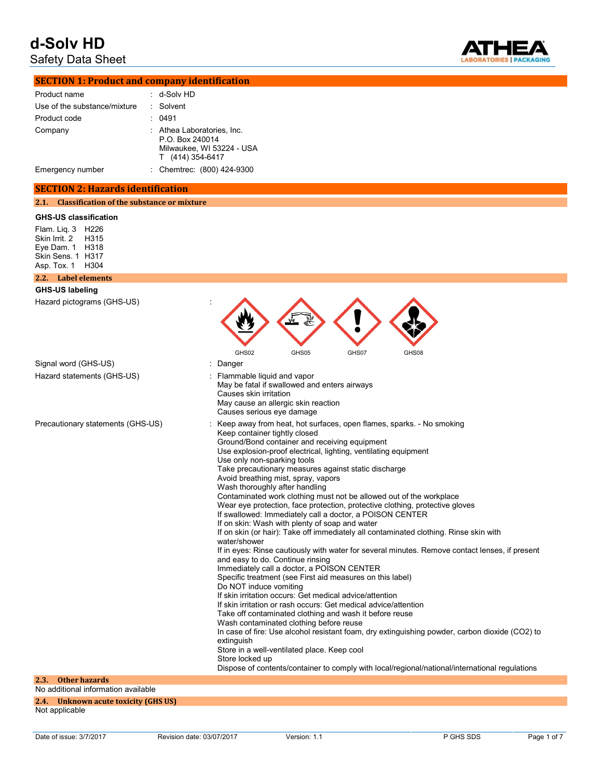Safety Data Sheet



| <b>SECTION 1: Product and company identification</b> |             |  |  |
|------------------------------------------------------|-------------|--|--|
| Product name                                         | : d-Solv HD |  |  |
| Use of the substance/mixture                         | : Solvent   |  |  |

| Product code     | 0491                                                                                           |
|------------------|------------------------------------------------------------------------------------------------|
| Company          | : Athea Laboratories. Inc.<br>P.O. Box 240014<br>Milwaukee, WI 53224 - USA<br>T (414) 354-6417 |
| Emergency number | : Chemtrec: (800) 424-9300                                                                     |

#### **SECTION 2: Hazards identification**

**2.1. Classification of the substance or mixture**

#### **GHS-US classification**

Flam. Liq. 3 H226 Skin Irrit. 2 H315 Eye Dam. 1 H318 Skin Sens. 1 H317 Asp. Tox. 1 H304

### **2.2. Label elements**

| <b>GHS-US labeling</b>                                              |                                                                                                                                                                                                                                                                                                                                                                                                                                                                                                                                                                                                                                                                                                                                                                                                                                                                                                                                                                                                                                                                                                                                                                                                                                                                                                                                                                                                                                                                                                                                                                            |
|---------------------------------------------------------------------|----------------------------------------------------------------------------------------------------------------------------------------------------------------------------------------------------------------------------------------------------------------------------------------------------------------------------------------------------------------------------------------------------------------------------------------------------------------------------------------------------------------------------------------------------------------------------------------------------------------------------------------------------------------------------------------------------------------------------------------------------------------------------------------------------------------------------------------------------------------------------------------------------------------------------------------------------------------------------------------------------------------------------------------------------------------------------------------------------------------------------------------------------------------------------------------------------------------------------------------------------------------------------------------------------------------------------------------------------------------------------------------------------------------------------------------------------------------------------------------------------------------------------------------------------------------------------|
| Hazard pictograms (GHS-US)                                          |                                                                                                                                                                                                                                                                                                                                                                                                                                                                                                                                                                                                                                                                                                                                                                                                                                                                                                                                                                                                                                                                                                                                                                                                                                                                                                                                                                                                                                                                                                                                                                            |
|                                                                     | GHS02<br>GHS05<br>GHS07<br>GHS08                                                                                                                                                                                                                                                                                                                                                                                                                                                                                                                                                                                                                                                                                                                                                                                                                                                                                                                                                                                                                                                                                                                                                                                                                                                                                                                                                                                                                                                                                                                                           |
| Signal word (GHS-US)<br>Hazard statements (GHS-US)                  | Danger<br>Flammable liquid and vapor<br>May be fatal if swallowed and enters airways<br>Causes skin irritation<br>May cause an allergic skin reaction<br>Causes serious eye damage                                                                                                                                                                                                                                                                                                                                                                                                                                                                                                                                                                                                                                                                                                                                                                                                                                                                                                                                                                                                                                                                                                                                                                                                                                                                                                                                                                                         |
| Precautionary statements (GHS-US)                                   | Keep away from heat, hot surfaces, open flames, sparks. - No smoking<br>Keep container tightly closed<br>Ground/Bond container and receiving equipment<br>Use explosion-proof electrical, lighting, ventilating equipment<br>Use only non-sparking tools<br>Take precautionary measures against static discharge<br>Avoid breathing mist, spray, vapors<br>Wash thoroughly after handling<br>Contaminated work clothing must not be allowed out of the workplace<br>Wear eye protection, face protection, protective clothing, protective gloves<br>If swallowed: Immediately call a doctor, a POISON CENTER<br>If on skin: Wash with plenty of soap and water<br>If on skin (or hair): Take off immediately all contaminated clothing. Rinse skin with<br>water/shower<br>If in eyes: Rinse cautiously with water for several minutes. Remove contact lenses, if present<br>and easy to do. Continue rinsing<br>Immediately call a doctor, a POISON CENTER<br>Specific treatment (see First aid measures on this label)<br>Do NOT induce vomiting<br>If skin irritation occurs: Get medical advice/attention<br>If skin irritation or rash occurs: Get medical advice/attention<br>Take off contaminated clothing and wash it before reuse<br>Wash contaminated clothing before reuse<br>In case of fire: Use alcohol resistant foam, dry extinguishing powder, carbon dioxide (CO2) to<br>extinguish<br>Store in a well-ventilated place. Keep cool<br>Store locked up<br>Dispose of contents/container to comply with local/regional/national/international regulations |
| <b>Other hazards</b><br>2.3.<br>No additional information available |                                                                                                                                                                                                                                                                                                                                                                                                                                                                                                                                                                                                                                                                                                                                                                                                                                                                                                                                                                                                                                                                                                                                                                                                                                                                                                                                                                                                                                                                                                                                                                            |

**2.4. Unknown acute toxicity (GHS US)**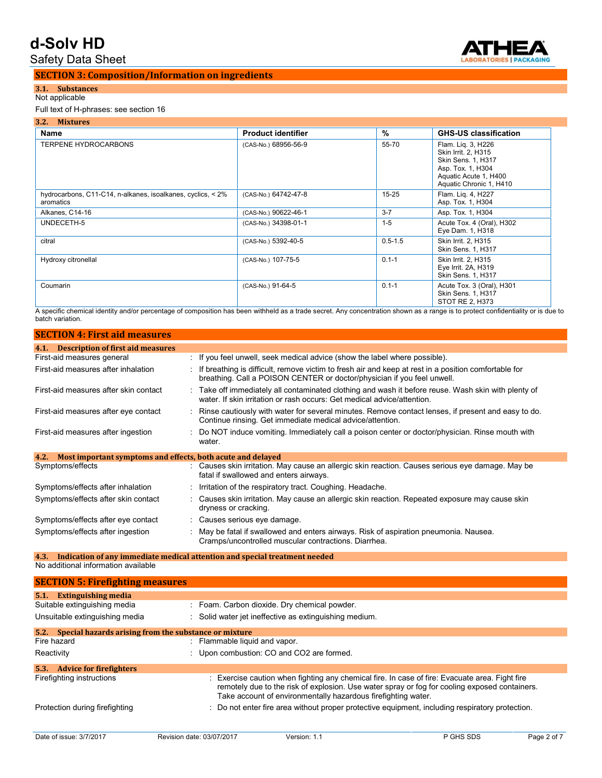Safety Data Sheet



#### **SECTION 3: Composition/Information on ingredients**

## **3.1. Substances**

## Not applicable

#### Full text of H-phrases: see section 16

| 3.2. Mixtures                                                            |                           |             |                                                                                                                                          |  |
|--------------------------------------------------------------------------|---------------------------|-------------|------------------------------------------------------------------------------------------------------------------------------------------|--|
| Name                                                                     | <b>Product identifier</b> | %           | <b>GHS-US classification</b>                                                                                                             |  |
| <b>TERPENE HYDROCARBONS</b>                                              | (CAS-No.) 68956-56-9      | 55-70       | Flam. Lig. 3, H226<br>Skin Irrit. 2, H315<br>Skin Sens. 1, H317<br>Asp. Tox. 1, H304<br>Aquatic Acute 1, H400<br>Aquatic Chronic 1, H410 |  |
| hydrocarbons, C11-C14, n-alkanes, isoalkanes, cyclics, < 2%<br>aromatics | (CAS-No.) 64742-47-8      | $15 - 25$   | Flam. Lig. 4, H227<br>Asp. Tox. 1, H304                                                                                                  |  |
| Alkanes, C14-16                                                          | (CAS-No.) 90622-46-1      | $3 - 7$     | Asp. Tox. 1, H304                                                                                                                        |  |
| UNDECETH-5                                                               | (CAS-No.) 34398-01-1      | $1 - 5$     | Acute Tox. 4 (Oral), H302<br>Eye Dam. 1, H318                                                                                            |  |
| citral                                                                   | (CAS-No.) 5392-40-5       | $0.5 - 1.5$ | Skin Irrit. 2. H315<br>Skin Sens. 1, H317                                                                                                |  |
| Hydroxy citronellal                                                      | (CAS-No.) 107-75-5        | $0.1 - 1$   | Skin Irrit. 2, H315<br>Eye Irrit. 2A, H319<br>Skin Sens. 1, H317                                                                         |  |
| Coumarin                                                                 | (CAS-No.) 91-64-5         | $0.1 - 1$   | Acute Tox. 3 (Oral), H301<br>Skin Sens. 1, H317<br>STOT RE 2, H373                                                                       |  |

A specific chemical identity and/or percentage of composition has been withheld as a trade secret. Any concentration shown as a range is to protect confidentiality or is due to batch variation.

| <b>SECTION 4: First aid measures</b>                                |                                                                                                                                                                                   |
|---------------------------------------------------------------------|-----------------------------------------------------------------------------------------------------------------------------------------------------------------------------------|
| 4.1. Description of first aid measures                              |                                                                                                                                                                                   |
| First-aid measures general                                          | : If you feel unwell, seek medical advice (show the label where possible).                                                                                                        |
| First-aid measures after inhalation                                 | : If breathing is difficult, remove victim to fresh air and keep at rest in a position comfortable for<br>breathing. Call a POISON CENTER or doctor/physician if you feel unwell. |
| First-aid measures after skin contact                               | : Take off immediately all contaminated clothing and wash it before reuse. Wash skin with plenty of<br>water. If skin irritation or rash occurs: Get medical advice/attention.    |
| First-aid measures after eye contact                                | : Rinse cautiously with water for several minutes. Remove contact lenses, if present and easy to do.<br>Continue rinsing. Get immediate medical advice/attention.                 |
| First-aid measures after ingestion                                  | : Do NOT induce vomiting. Immediately call a poison center or doctor/physician. Rinse mouth with<br>water.                                                                        |
| Most important symptoms and effects, both acute and delayed<br>4.2. |                                                                                                                                                                                   |
| Symptoms/effects                                                    | : Causes skin irritation. May cause an allergic skin reaction. Causes serious eye damage. May be<br>fatal if swallowed and enters airways.                                        |
| Symptoms/effects after inhalation                                   | : Irritation of the respiratory tract. Coughing. Headache.                                                                                                                        |
| Symptoms/effects after skin contact                                 | : Causes skin irritation. May cause an allergic skin reaction. Repeated exposure may cause skin<br>dryness or cracking.                                                           |
| Symptoms/effects after eye contact                                  | : Causes serious eye damage.                                                                                                                                                      |
| Symptoms/effects after ingestion                                    | : May be fatal if swallowed and enters airways. Risk of aspiration pneumonia. Nausea.<br>Cramps/uncontrolled muscular contractions. Diarrhea.                                     |

**4.3. Indication of any immediate medical attention and special treatment needed**

No additional information available

| <b>SECTION 5: Firefighting measures</b>                       |                                                                                                                                                                                                                                                                  |
|---------------------------------------------------------------|------------------------------------------------------------------------------------------------------------------------------------------------------------------------------------------------------------------------------------------------------------------|
| 5.1.<br>Extinguishing media                                   |                                                                                                                                                                                                                                                                  |
| Suitable extinguishing media                                  | : Foam. Carbon dioxide. Dry chemical powder.                                                                                                                                                                                                                     |
| Unsuitable extinguishing media                                | : Solid water jet ineffective as extinguishing medium.                                                                                                                                                                                                           |
| Special hazards arising from the substance or mixture<br>5.2. |                                                                                                                                                                                                                                                                  |
| Fire hazard                                                   | : Flammable liquid and vapor.                                                                                                                                                                                                                                    |
| Reactivity                                                    | : Upon combustion: CO and CO2 are formed.                                                                                                                                                                                                                        |
| 5.3. Advice for firefighters                                  |                                                                                                                                                                                                                                                                  |
| Firefighting instructions                                     | : Exercise caution when fighting any chemical fire. In case of fire: Evacuate area. Fight fire<br>remotely due to the risk of explosion. Use water spray or fog for cooling exposed containers.<br>Take account of environmentally hazardous firefighting water. |
| Protection during firefighting                                | : Do not enter fire area without proper protective equipment, including respiratory protection.                                                                                                                                                                  |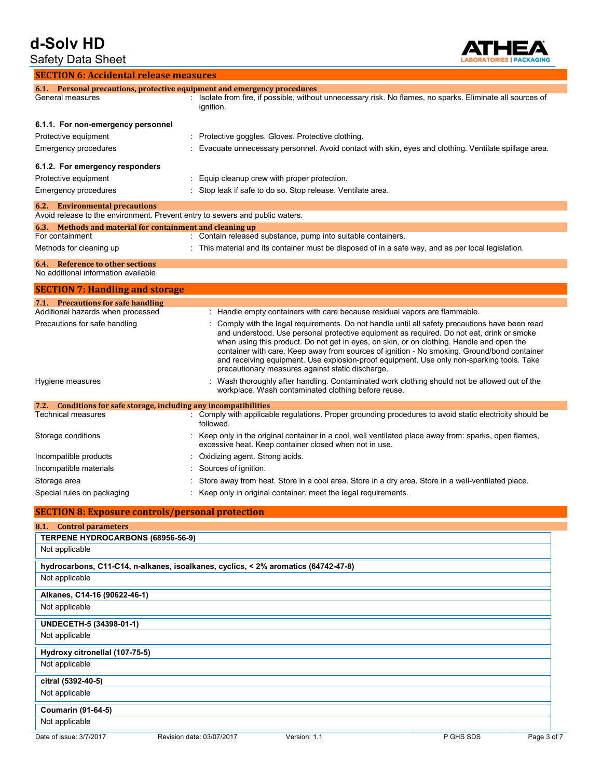## Safety Data Sheet **SECTION 6: Accidental release measures**

**ATHEA** CKAGING

|                                                                                | 6.1. Personal precautions, protective equipment and emergency procedures                                                                                                                                                                                                                                                                                                                                                                                                                                                                  |
|--------------------------------------------------------------------------------|-------------------------------------------------------------------------------------------------------------------------------------------------------------------------------------------------------------------------------------------------------------------------------------------------------------------------------------------------------------------------------------------------------------------------------------------------------------------------------------------------------------------------------------------|
| General measures                                                               | : Isolate from fire, if possible, without unnecessary risk. No flames, no sparks. Eliminate all sources of<br>ignition.                                                                                                                                                                                                                                                                                                                                                                                                                   |
| 6.1.1. For non-emergency personnel                                             |                                                                                                                                                                                                                                                                                                                                                                                                                                                                                                                                           |
| Protective equipment                                                           | : Protective goggles. Gloves. Protective clothing.                                                                                                                                                                                                                                                                                                                                                                                                                                                                                        |
| <b>Emergency procedures</b>                                                    | Evacuate unnecessary personnel. Avoid contact with skin, eyes and clothing. Ventilate spillage area.                                                                                                                                                                                                                                                                                                                                                                                                                                      |
| 6.1.2. For emergency responders                                                |                                                                                                                                                                                                                                                                                                                                                                                                                                                                                                                                           |
| Protective equipment                                                           | : Equip cleanup crew with proper protection.                                                                                                                                                                                                                                                                                                                                                                                                                                                                                              |
| <b>Emergency procedures</b>                                                    | : Stop leak if safe to do so. Stop release. Ventilate area.                                                                                                                                                                                                                                                                                                                                                                                                                                                                               |
| <b>6.2.</b> Environmental precautions                                          | Avoid release to the environment. Prevent entry to sewers and public waters.                                                                                                                                                                                                                                                                                                                                                                                                                                                              |
| 6.3. Methods and material for containment and cleaning up                      |                                                                                                                                                                                                                                                                                                                                                                                                                                                                                                                                           |
| For containment                                                                | : Contain released substance, pump into suitable containers.                                                                                                                                                                                                                                                                                                                                                                                                                                                                              |
| Methods for cleaning up                                                        | : This material and its container must be disposed of in a safe way, and as per local legislation.                                                                                                                                                                                                                                                                                                                                                                                                                                        |
| <b>6.4.</b> Reference to other sections<br>No additional information available |                                                                                                                                                                                                                                                                                                                                                                                                                                                                                                                                           |
| <b>SECTION 7: Handling and storage</b>                                         |                                                                                                                                                                                                                                                                                                                                                                                                                                                                                                                                           |
| 7.1. Precautions for safe handling<br>Additional hazards when processed        | : Handle empty containers with care because residual vapors are flammable.                                                                                                                                                                                                                                                                                                                                                                                                                                                                |
|                                                                                |                                                                                                                                                                                                                                                                                                                                                                                                                                                                                                                                           |
| Precautions for safe handling                                                  | : Comply with the legal requirements. Do not handle until all safety precautions have been read<br>and understood. Use personal protective equipment as required. Do not eat, drink or smoke<br>when using this product. Do not get in eyes, on skin, or on clothing. Handle and open the<br>container with care. Keep away from sources of ignition - No smoking. Ground/bond container<br>and receiving equipment. Use explosion-proof equipment. Use only non-sparking tools. Take<br>precautionary measures against static discharge. |
| Hygiene measures                                                               | Wash thoroughly after handling. Contaminated work clothing should not be allowed out of the<br>workplace. Wash contaminated clothing before reuse.                                                                                                                                                                                                                                                                                                                                                                                        |
| 7.2.                                                                           | Conditions for safe storage, including any incompatibilities                                                                                                                                                                                                                                                                                                                                                                                                                                                                              |
| <b>Technical measures</b>                                                      | : Comply with applicable regulations. Proper grounding procedures to avoid static electricity should be<br>followed.                                                                                                                                                                                                                                                                                                                                                                                                                      |
| Storage conditions                                                             | : Keep only in the original container in a cool, well ventilated place away from: sparks, open flames,<br>excessive heat. Keep container closed when not in use.                                                                                                                                                                                                                                                                                                                                                                          |
| Incompatible products                                                          | : Oxidizing agent. Strong acids.                                                                                                                                                                                                                                                                                                                                                                                                                                                                                                          |
| Incompatible materials                                                         | Sources of ignition.                                                                                                                                                                                                                                                                                                                                                                                                                                                                                                                      |
| Storage area                                                                   | Store away from heat. Store in a cool area. Store in a dry area. Store in a well-ventilated place.                                                                                                                                                                                                                                                                                                                                                                                                                                        |
| Special rules on packaging                                                     | : Keep only in original container. meet the legal requirements.                                                                                                                                                                                                                                                                                                                                                                                                                                                                           |
| <b>SECTION 8: Exposure controls/personal protection</b>                        |                                                                                                                                                                                                                                                                                                                                                                                                                                                                                                                                           |
| 8.1. Control parameters                                                        |                                                                                                                                                                                                                                                                                                                                                                                                                                                                                                                                           |
| TERPENE HYDROCARBONS (68956-56-9)                                              |                                                                                                                                                                                                                                                                                                                                                                                                                                                                                                                                           |
| Not applicable                                                                 |                                                                                                                                                                                                                                                                                                                                                                                                                                                                                                                                           |
|                                                                                | hydrocarbons, C11-C14, n-alkanes, isoalkanes, cyclics, < 2% aromatics (64742-47-8)                                                                                                                                                                                                                                                                                                                                                                                                                                                        |
| Not applicable                                                                 |                                                                                                                                                                                                                                                                                                                                                                                                                                                                                                                                           |
| Alkanes, C14-16 (90622-46-1)                                                   |                                                                                                                                                                                                                                                                                                                                                                                                                                                                                                                                           |
| Not applicable                                                                 |                                                                                                                                                                                                                                                                                                                                                                                                                                                                                                                                           |
| UNDECETH-5 (34398-01-1)                                                        |                                                                                                                                                                                                                                                                                                                                                                                                                                                                                                                                           |
| Not applicable                                                                 |                                                                                                                                                                                                                                                                                                                                                                                                                                                                                                                                           |
| Hydroxy citronellal (107-75-5)                                                 |                                                                                                                                                                                                                                                                                                                                                                                                                                                                                                                                           |
| Not applicable                                                                 |                                                                                                                                                                                                                                                                                                                                                                                                                                                                                                                                           |
| citral (5392-40-5)                                                             |                                                                                                                                                                                                                                                                                                                                                                                                                                                                                                                                           |
| Not applicable                                                                 |                                                                                                                                                                                                                                                                                                                                                                                                                                                                                                                                           |
| <b>Coumarin (91-64-5)</b>                                                      |                                                                                                                                                                                                                                                                                                                                                                                                                                                                                                                                           |
| Not applicable                                                                 |                                                                                                                                                                                                                                                                                                                                                                                                                                                                                                                                           |
| Date of issue: 3/7/2017                                                        | P GHS SDS<br>Page 3 of 7<br>Revision date: 03/07/2017<br>Version: 1.1                                                                                                                                                                                                                                                                                                                                                                                                                                                                     |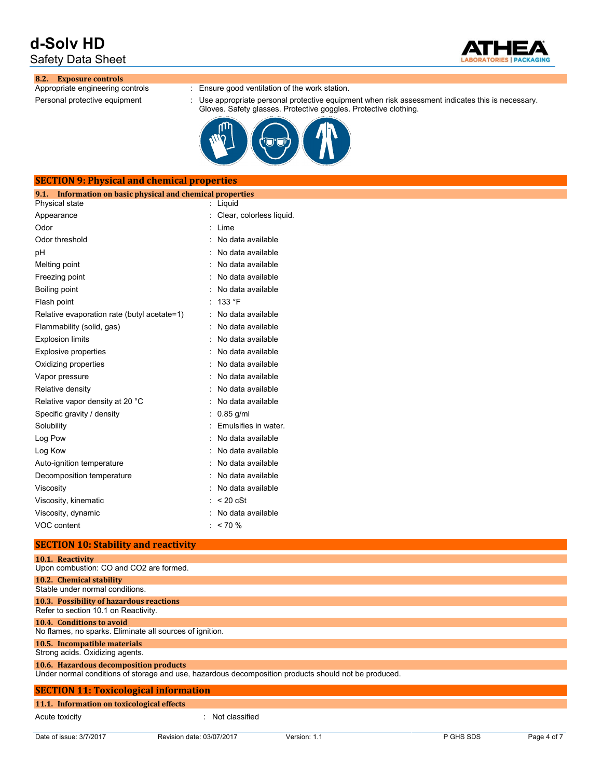Safety Data Sheet



# **8.2. Exposure controls**

: Ensure good ventilation of the work station.

Personal protective equipment : Use appropriate personal protective equipment when risk assessment indicates this is necessary. Gloves. Safety glasses. Protective goggles. Protective clothing.



### **SECTION 9: Physical and chemical properties**

| 9.1.<br>Information on basic physical and chemical properties |                          |
|---------------------------------------------------------------|--------------------------|
| Physical state                                                | Liquid                   |
| Appearance                                                    | Clear, colorless liquid. |
| Odor                                                          | Lime                     |
| Odor threshold                                                | No data available        |
| рH                                                            | No data available        |
| Melting point                                                 | No data available        |
| Freezing point                                                | No data available        |
| Boiling point                                                 | No data available        |
| Flash point                                                   | 133 °F                   |
| Relative evaporation rate (butyl acetate=1)                   | No data available        |
| Flammability (solid, gas)                                     | No data available        |
| <b>Explosion limits</b>                                       | No data available        |
| <b>Explosive properties</b>                                   | No data available        |
| Oxidizing properties                                          | No data available        |
| Vapor pressure                                                | No data available        |
| Relative density                                              | No data available        |
| Relative vapor density at 20 °C                               | No data available        |
| Specific gravity / density                                    | $0.85$ g/ml              |
| Solubility                                                    | Emulsifies in water.     |
| Log Pow                                                       | No data available        |
| Log Kow                                                       | No data available        |
| Auto-ignition temperature                                     | No data available        |
| Decomposition temperature                                     | No data available        |
| Viscosity                                                     | No data available        |
| Viscosity, kinematic                                          | $< 20$ cSt               |
| Viscosity, dynamic                                            | No data available        |
| VOC content                                                   | $< 70 \%$                |
|                                                               |                          |

#### **SECTION 10: Stability and reactivity**

| 10.1. Reactivity<br>Upon combustion: CO and CO2 are formed.                           |                                                                                                      |
|---------------------------------------------------------------------------------------|------------------------------------------------------------------------------------------------------|
| 10.2. Chemical stability<br>Stable under normal conditions.                           |                                                                                                      |
| 10.3. Possibility of hazardous reactions<br>Refer to section 10.1 on Reactivity.      |                                                                                                      |
| 10.4. Conditions to avoid<br>No flames, no sparks. Eliminate all sources of ignition. |                                                                                                      |
| 10.5. Incompatible materials<br>Strong acids. Oxidizing agents.                       |                                                                                                      |
| 10.6. Hazardous decomposition products                                                | Under normal conditions of storage and use, hazardous decomposition products should not be produced. |
| <b>SECTION 11: Toxicological information</b>                                          |                                                                                                      |
| 11.1. Information on toxicological effects                                            |                                                                                                      |
| Acute toxicity                                                                        | : Not classified                                                                                     |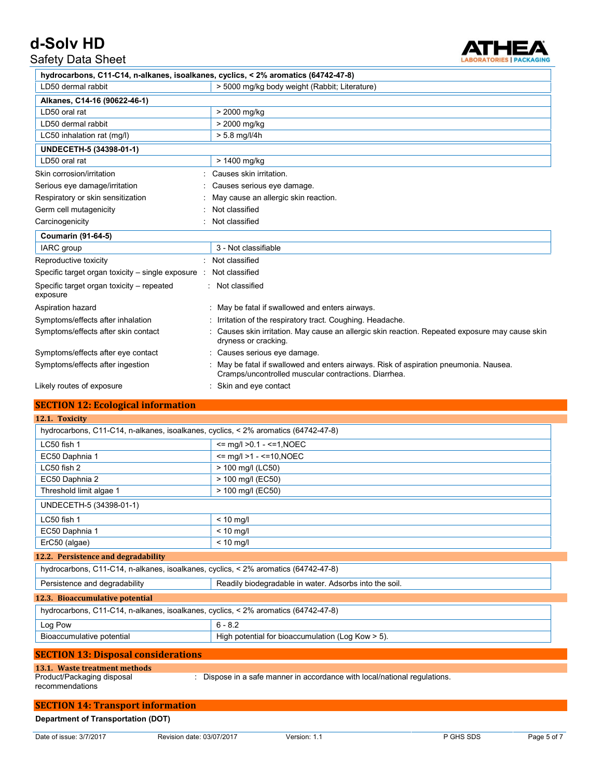Safety Data Sheet



| hydrocarbons, C11-C14, n-alkanes, isoalkanes, cyclics, < 2% aromatics (64742-47-8) |                                                                                                                                             |
|------------------------------------------------------------------------------------|---------------------------------------------------------------------------------------------------------------------------------------------|
| LD50 dermal rabbit                                                                 | > 5000 mg/kg body weight (Rabbit; Literature)                                                                                               |
| Alkanes, C14-16 (90622-46-1)                                                       |                                                                                                                                             |
| LD50 oral rat                                                                      | > 2000 mg/kg                                                                                                                                |
| LD50 dermal rabbit                                                                 | > 2000 mg/kg                                                                                                                                |
| LC50 inhalation rat (mg/l)                                                         | $> 5.8$ mg/l/4h                                                                                                                             |
| UNDECETH-5 (34398-01-1)                                                            |                                                                                                                                             |
| LD50 oral rat                                                                      | > 1400 mg/kg                                                                                                                                |
| Skin corrosion/irritation                                                          | Causes skin irritation.                                                                                                                     |
| Serious eye damage/irritation                                                      | Causes serious eye damage.                                                                                                                  |
| Respiratory or skin sensitization                                                  | May cause an allergic skin reaction.                                                                                                        |
| Germ cell mutagenicity                                                             | Not classified                                                                                                                              |
| Carcinogenicity                                                                    | Not classified                                                                                                                              |
| <b>Coumarin (91-64-5)</b>                                                          |                                                                                                                                             |
| IARC group                                                                         | 3 - Not classifiable                                                                                                                        |
| Reproductive toxicity                                                              | Not classified                                                                                                                              |
| Specific target organ toxicity - single exposure                                   | Not classified                                                                                                                              |
| Specific target organ toxicity - repeated<br>exposure                              | : Not classified                                                                                                                            |
| Aspiration hazard                                                                  | May be fatal if swallowed and enters airways.                                                                                               |
| Symptoms/effects after inhalation                                                  | Irritation of the respiratory tract. Coughing. Headache.                                                                                    |
| Symptoms/effects after skin contact                                                | Causes skin irritation. May cause an allergic skin reaction. Repeated exposure may cause skin<br>dryness or cracking.                       |
| Symptoms/effects after eye contact                                                 | Causes serious eye damage.                                                                                                                  |
| Symptoms/effects after ingestion                                                   | May be fatal if swallowed and enters airways. Risk of aspiration pneumonia. Nausea.<br>Cramps/uncontrolled muscular contractions. Diarrhea. |
| Likely routes of exposure                                                          | Skin and eye contact                                                                                                                        |

### **SECTION 12: Ecological information**

| 12.1. Toxicity                                                                     |                                                                           |
|------------------------------------------------------------------------------------|---------------------------------------------------------------------------|
| hydrocarbons, C11-C14, n-alkanes, isoalkanes, cyclics, < 2% aromatics (64742-47-8) |                                                                           |
| LC50 fish 1                                                                        | $\le$ mq/l >0.1 - $\le$ =1, NOEC                                          |
| EC50 Daphnia 1                                                                     | $\le$ mq/l >1 - $\le$ =10, NOEC                                           |
| LC50 fish 2                                                                        | > 100 mg/l (LC50)                                                         |
| EC50 Daphnia 2                                                                     | > 100 mg/l (EC50)                                                         |
| Threshold limit algae 1                                                            | > 100 mg/l (EC50)                                                         |
| UNDECETH-5 (34398-01-1)                                                            |                                                                           |
| LC50 fish 1                                                                        | $< 10$ mg/l                                                               |
| EC50 Daphnia 1                                                                     | $< 10$ mg/l                                                               |
| ErC50 (algae)                                                                      | $< 10$ mg/l                                                               |
| 12.2. Persistence and degradability                                                |                                                                           |
| hydrocarbons, C11-C14, n-alkanes, isoalkanes, cyclics, < 2% aromatics (64742-47-8) |                                                                           |
| Persistence and degradability                                                      | Readily biodegradable in water. Adsorbs into the soil.                    |
| 12.3. Bioaccumulative potential                                                    |                                                                           |
| hydrocarbons, C11-C14, n-alkanes, isoalkanes, cyclics, < 2% aromatics (64742-47-8) |                                                                           |
| Log Pow                                                                            | $6 - 8.2$                                                                 |
| Bioaccumulative potential                                                          | High potential for bioaccumulation (Log Kow > 5).                         |
| <b>SECTION 13: Disposal considerations</b>                                         |                                                                           |
| 13.1. Waste treatment methods                                                      |                                                                           |
| Product/Packaging disposal                                                         | : Dispose in a safe manner in accordance with local/national regulations. |

recommendations

### **SECTION 14: Transport information**

### **Department of Transportation (DOT)**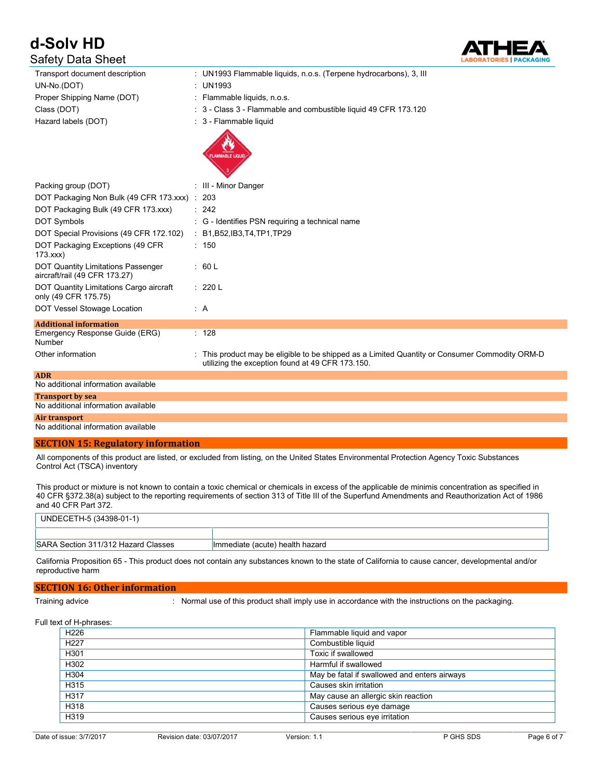# **d-Solv HD** Safety Data Sheet



| Transport document description                                             | : UN1993 Flammable liquids, n.o.s. (Terpene hydrocarbons), 3, III                                                                                |
|----------------------------------------------------------------------------|--------------------------------------------------------------------------------------------------------------------------------------------------|
| UN-No.(DOT)                                                                | : UN1993                                                                                                                                         |
| Proper Shipping Name (DOT)                                                 | Flammable liquids, n.o.s.                                                                                                                        |
| Class (DOT)                                                                | : 3 - Class 3 - Flammable and combustible liquid 49 CFR 173.120                                                                                  |
| Hazard labels (DOT)                                                        | : 3 - Flammable liquid                                                                                                                           |
|                                                                            | <b>FLAMMABLE LIQUID</b>                                                                                                                          |
| Packing group (DOT)                                                        | : III - Minor Danger                                                                                                                             |
| DOT Packaging Non Bulk (49 CFR 173 xxx) : 203                              |                                                                                                                                                  |
| DOT Packaging Bulk (49 CFR 173.xxx)                                        | : 242                                                                                                                                            |
| <b>DOT Symbols</b>                                                         | : G - Identifies PSN requiring a technical name                                                                                                  |
| DOT Special Provisions (49 CFR 172.102)                                    | : B1, B52, IB3, T4, TP1, TP29                                                                                                                    |
| DOT Packaging Exceptions (49 CFR<br>173.xxx                                | : 150                                                                                                                                            |
| <b>DOT Quantity Limitations Passenger</b><br>aircraft/rail (49 CFR 173.27) | : 60 L                                                                                                                                           |
| DOT Quantity Limitations Cargo aircraft<br>only (49 CFR 175.75)            | : 220 L                                                                                                                                          |
| DOT Vessel Stowage Location                                                | : A                                                                                                                                              |
| <b>Additional information</b>                                              |                                                                                                                                                  |
| Emergency Response Guide (ERG)<br>Number                                   | : 128                                                                                                                                            |
| Other information                                                          | This product may be eligible to be shipped as a Limited Quantity or Consumer Commodity ORM-D<br>utilizing the exception found at 49 CFR 173.150. |
| <b>ADR</b>                                                                 |                                                                                                                                                  |
| No additional information available                                        |                                                                                                                                                  |

| Transport by sea                    |  |
|-------------------------------------|--|
| No additional information available |  |
| Air transport                       |  |
| No additional information available |  |

#### **SECTION 15: Regulatory information**

All components of this product are listed, or excluded from listing, on the United States Environmental Protection Agency Toxic Substances Control Act (TSCA) inventory

This product or mixture is not known to contain a toxic chemical or chemicals in excess of the applicable de minimis concentration as specified in 40 CFR §372.38(a) subject to the reporting requirements of section 313 of Title III of the Superfund Amendments and Reauthorization Act of 1986 and 40 CFR Part 372.

| UNDECETH-5 (34398-01-1)             |                                  |
|-------------------------------------|----------------------------------|
|                                     |                                  |
| SARA Section 311/312 Hazard Classes | Ilmmediate (acute) health hazard |

California Proposition 65 - This product does not contain any substances known to the state of California to cause cancer, developmental and/or reproductive harm

#### **SECTION 16: Other information**

Training advice : Normal use of this product shall imply use in accordance with the instructions on the packaging.

#### Full text of H-phrases:

| H <sub>226</sub> | Flammable liquid and vapor                   |
|------------------|----------------------------------------------|
| H <sub>227</sub> | Combustible liquid                           |
| H <sub>301</sub> | Toxic if swallowed                           |
| H302             | Harmful if swallowed                         |
| H304             | May be fatal if swallowed and enters airways |
| H315             | Causes skin irritation                       |
| H317             | May cause an allergic skin reaction          |
| H318             | Causes serious eye damage                    |
| H319             | Causes serious eye irritation                |